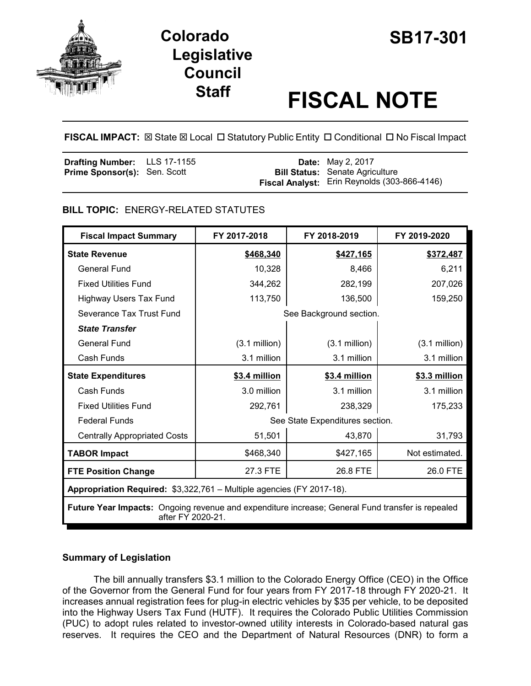



# **Staff FISCAL NOTE**

**FISCAL IMPACT:** ⊠ State ⊠ Local □ Statutory Public Entity □ Conditional □ No Fiscal Impact

| <b>Drafting Number:</b> LLS 17-1155 |  | <b>Date:</b> May 2, 2017                            |
|-------------------------------------|--|-----------------------------------------------------|
| <b>Prime Sponsor(s): Sen. Scott</b> |  | <b>Bill Status:</b> Senate Agriculture              |
|                                     |  | <b>Fiscal Analyst:</b> Erin Reynolds (303-866-4146) |

# **BILL TOPIC:** ENERGY-RELATED STATUTES

| <b>Fiscal Impact Summary</b>                                                                                          | FY 2017-2018                    | FY 2018-2019    | FY 2019-2020            |  |
|-----------------------------------------------------------------------------------------------------------------------|---------------------------------|-----------------|-------------------------|--|
| <b>State Revenue</b>                                                                                                  | \$468,340                       | \$427,165       | \$372,487               |  |
| <b>General Fund</b>                                                                                                   | 10,328                          | 8,466           | 6,211                   |  |
| <b>Fixed Utilities Fund</b>                                                                                           | 344,262                         | 282,199         | 207,026                 |  |
| Highway Users Tax Fund                                                                                                | 113,750                         | 136,500         | 159,250                 |  |
| Severance Tax Trust Fund                                                                                              | See Background section.         |                 |                         |  |
| <b>State Transfer</b>                                                                                                 |                                 |                 |                         |  |
| <b>General Fund</b>                                                                                                   | $(3.1 \text{ million})$         | $(3.1$ million) | $(3.1 \text{ million})$ |  |
| Cash Funds                                                                                                            | 3.1 million                     | 3.1 million     | 3.1 million             |  |
| <b>State Expenditures</b>                                                                                             | \$3.4 million                   | \$3.4 million   | \$3.3 million           |  |
| Cash Funds                                                                                                            | 3.0 million                     | 3.1 million     | 3.1 million             |  |
| <b>Fixed Utilities Fund</b>                                                                                           | 292,761                         | 238,329         | 175,233                 |  |
| <b>Federal Funds</b>                                                                                                  | See State Expenditures section. |                 |                         |  |
| <b>Centrally Appropriated Costs</b>                                                                                   | 51,501                          | 43,870          | 31,793                  |  |
| <b>TABOR Impact</b>                                                                                                   | \$468,340                       | \$427,165       | Not estimated.          |  |
| <b>FTE Position Change</b>                                                                                            | 27.3 FTE                        | 26.8 FTE        | 26.0 FTE                |  |
| Appropriation Required: \$3,322,761 - Multiple agencies (FY 2017-18).                                                 |                                 |                 |                         |  |
| Future Year Impacts: Ongoing revenue and expenditure increase; General Fund transfer is repealed<br>after FY 2020-21. |                                 |                 |                         |  |

# **Summary of Legislation**

The bill annually transfers \$3.1 million to the Colorado Energy Office (CEO) in the Office of the Governor from the General Fund for four years from FY 2017-18 through FY 2020-21. It increases annual registration fees for plug-in electric vehicles by \$35 per vehicle, to be deposited into the Highway Users Tax Fund (HUTF). It requires the Colorado Public Utilities Commission (PUC) to adopt rules related to investor-owned utility interests in Colorado-based natural gas reserves. It requires the CEO and the Department of Natural Resources (DNR) to form a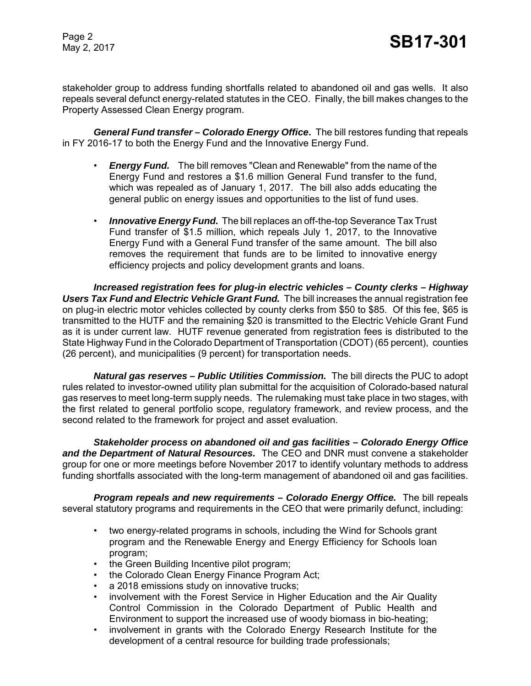stakeholder group to address funding shortfalls related to abandoned oil and gas wells. It also repeals several defunct energy-related statutes in the CEO. Finally, the bill makes changes to the Property Assessed Clean Energy program.

*General Fund transfer – Colorado Energy Office***.** The bill restores funding that repeals in FY 2016-17 to both the Energy Fund and the Innovative Energy Fund.

- *Energy Fund.* The bill removes "Clean and Renewable" from the name of the Energy Fund and restores a \$1.6 million General Fund transfer to the fund, which was repealed as of January 1, 2017. The bill also adds educating the general public on energy issues and opportunities to the list of fund uses.
- *Innovative Energy Fund.* The bill replaces an off-the-top Severance Tax Trust Fund transfer of \$1.5 million, which repeals July 1, 2017, to the Innovative Energy Fund with a General Fund transfer of the same amount. The bill also removes the requirement that funds are to be limited to innovative energy efficiency projects and policy development grants and loans.

*Increased registration fees for plug-in electric vehicles – County clerks – Highway Users Tax Fund and Electric Vehicle Grant Fund.* The bill increases the annual registration fee on plug-in electric motor vehicles collected by county clerks from \$50 to \$85. Of this fee, \$65 is transmitted to the HUTF and the remaining \$20 is transmitted to the Electric Vehicle Grant Fund as it is under current law. HUTF revenue generated from registration fees is distributed to the State Highway Fund in the Colorado Department of Transportation (CDOT) (65 percent), counties (26 percent), and municipalities (9 percent) for transportation needs.

*Natural gas reserves – Public Utilities Commission.* The bill directs the PUC to adopt rules related to investor-owned utility plan submittal for the acquisition of Colorado-based natural gas reserves to meet long-term supply needs. The rulemaking must take place in two stages, with the first related to general portfolio scope, regulatory framework, and review process, and the second related to the framework for project and asset evaluation.

*Stakeholder process on abandoned oil and gas facilities – Colorado Energy Office and the Department of Natural Resources.* The CEO and DNR must convene a stakeholder group for one or more meetings before November 2017 to identify voluntary methods to address funding shortfalls associated with the long-term management of abandoned oil and gas facilities.

*Program repeals and new requirements – Colorado Energy Office.* The bill repeals several statutory programs and requirements in the CEO that were primarily defunct, including:

- two energy-related programs in schools, including the Wind for Schools grant program and the Renewable Energy and Energy Efficiency for Schools loan program;
- the Green Building Incentive pilot program;
- the Colorado Clean Energy Finance Program Act;
- a 2018 emissions study on innovative trucks;
- involvement with the Forest Service in Higher Education and the Air Quality Control Commission in the Colorado Department of Public Health and Environment to support the increased use of woody biomass in bio-heating;
- involvement in grants with the Colorado Energy Research Institute for the development of a central resource for building trade professionals;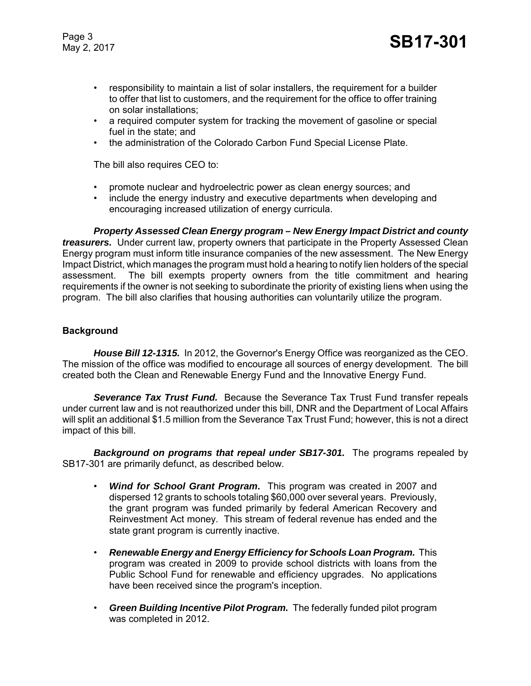- responsibility to maintain a list of solar installers, the requirement for a builder to offer that list to customers, and the requirement for the office to offer training on solar installations;
- a required computer system for tracking the movement of gasoline or special fuel in the state; and
- the administration of the Colorado Carbon Fund Special License Plate.

The bill also requires CEO to:

- promote nuclear and hydroelectric power as clean energy sources; and
- include the energy industry and executive departments when developing and encouraging increased utilization of energy curricula.

*Property Assessed Clean Energy program – New Energy Impact District and county treasurers.* Under current law, property owners that participate in the Property Assessed Clean Energy program must inform title insurance companies of the new assessment. The New Energy Impact District, which manages the program must hold a hearing to notify lien holders of the special assessment. The bill exempts property owners from the title commitment and hearing requirements if the owner is not seeking to subordinate the priority of existing liens when using the program. The bill also clarifies that housing authorities can voluntarily utilize the program.

# **Background**

*House Bill 12-1315.* In 2012, the Governor's Energy Office was reorganized as the CEO. The mission of the office was modified to encourage all sources of energy development. The bill created both the Clean and Renewable Energy Fund and the Innovative Energy Fund.

*Severance Tax Trust Fund.* Because the Severance Tax Trust Fund transfer repeals under current law and is not reauthorized under this bill, DNR and the Department of Local Affairs will split an additional \$1.5 million from the Severance Tax Trust Fund; however, this is not a direct impact of this bill.

**Background on programs that repeal under SB17-301.** The programs repealed by SB17-301 are primarily defunct, as described below.

- *Wind for School Grant Program***.** This program was created in 2007 and dispersed 12 grants to schools totaling \$60,000 over several years. Previously, the grant program was funded primarily by federal American Recovery and Reinvestment Act money. This stream of federal revenue has ended and the state grant program is currently inactive.
- *Renewable Energy and Energy Efficiency for Schools Loan Program.* This program was created in 2009 to provide school districts with loans from the Public School Fund for renewable and efficiency upgrades. No applications have been received since the program's inception.
- *Green Building Incentive Pilot Program.* The federally funded pilot program was completed in 2012.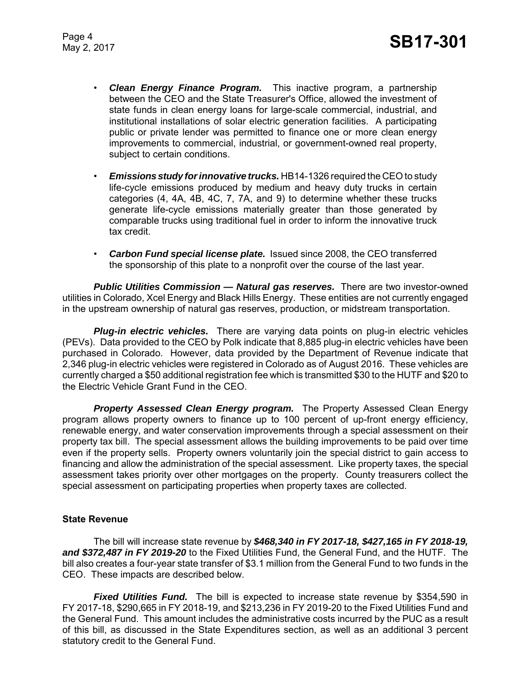- *Clean Energy Finance Program.* This inactive program, a partnership between the CEO and the State Treasurer's Office, allowed the investment of state funds in clean energy loans for large-scale commercial, industrial, and institutional installations of solar electric generation facilities. A participating public or private lender was permitted to finance one or more clean energy improvements to commercial, industrial, or government-owned real property, subject to certain conditions.
- *Emissions study for innovative trucks.* HB14-1326 required the CEO to study life-cycle emissions produced by medium and heavy duty trucks in certain categories (4, 4A, 4B, 4C, 7, 7A, and 9) to determine whether these trucks generate life-cycle emissions materially greater than those generated by comparable trucks using traditional fuel in order to inform the innovative truck tax credit.
- *Carbon Fund special license plate.* Issued since 2008, the CEO transferred the sponsorship of this plate to a nonprofit over the course of the last year.

**Public Utilities Commission — Natural gas reserves.** There are two investor-owned utilities in Colorado, Xcel Energy and Black Hills Energy. These entities are not currently engaged in the upstream ownership of natural gas reserves, production, or midstream transportation.

*Plug-in electric vehicles.* There are varying data points on plug-in electric vehicles (PEVs). Data provided to the CEO by Polk indicate that 8,885 plug-in electric vehicles have been purchased in Colorado. However, data provided by the Department of Revenue indicate that 2,346 plug-in electric vehicles were registered in Colorado as of August 2016. These vehicles are currently charged a \$50 additional registration fee which is transmitted \$30 to the HUTF and \$20 to the Electric Vehicle Grant Fund in the CEO.

*Property Assessed Clean Energy program.* The Property Assessed Clean Energy program allows property owners to finance up to 100 percent of up-front energy efficiency, renewable energy, and water conservation improvements through a special assessment on their property tax bill. The special assessment allows the building improvements to be paid over time even if the property sells. Property owners voluntarily join the special district to gain access to financing and allow the administration of the special assessment. Like property taxes, the special assessment takes priority over other mortgages on the property. County treasurers collect the special assessment on participating properties when property taxes are collected.

## **State Revenue**

The bill will increase state revenue by *\$468,340 in FY 2017-18, \$427,165 in FY 2018-19, and \$372,487 in FY 2019-20* to the Fixed Utilities Fund, the General Fund, and the HUTF. The bill also creates a four-year state transfer of \$3.1 million from the General Fund to two funds in the CEO. These impacts are described below.

*Fixed Utilities Fund.* The bill is expected to increase state revenue by \$354,590 in FY 2017-18, \$290,665 in FY 2018-19, and \$213,236 in FY 2019-20 to the Fixed Utilities Fund and the General Fund. This amount includes the administrative costs incurred by the PUC as a result of this bill, as discussed in the State Expenditures section, as well as an additional 3 percent statutory credit to the General Fund.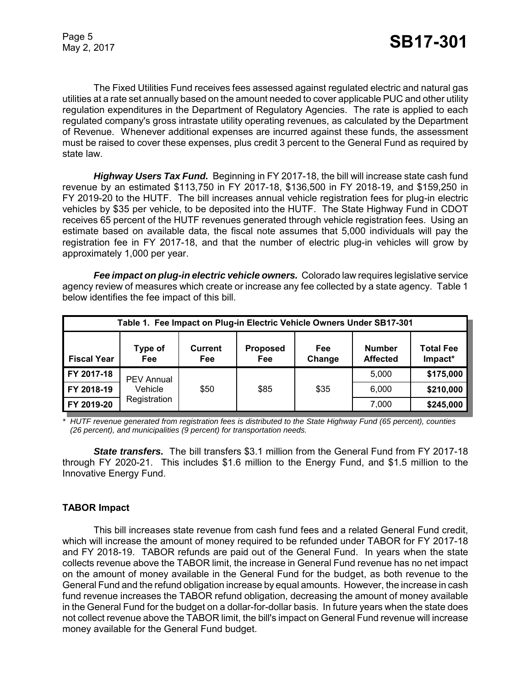The Fixed Utilities Fund receives fees assessed against regulated electric and natural gas utilities at a rate set annually based on the amount needed to cover applicable PUC and other utility regulation expenditures in the Department of Regulatory Agencies. The rate is applied to each regulated company's gross intrastate utility operating revenues, as calculated by the Department of Revenue. Whenever additional expenses are incurred against these funds, the assessment must be raised to cover these expenses, plus credit 3 percent to the General Fund as required by state law.

*Highway Users Tax Fund.* Beginning in FY 2017-18, the bill will increase state cash fund revenue by an estimated \$113,750 in FY 2017-18, \$136,500 in FY 2018-19, and \$159,250 in FY 2019-20 to the HUTF. The bill increases annual vehicle registration fees for plug-in electric vehicles by \$35 per vehicle, to be deposited into the HUTF. The State Highway Fund in CDOT receives 65 percent of the HUTF revenues generated through vehicle registration fees. Using an estimate based on available data, the fiscal note assumes that 5,000 individuals will pay the registration fee in FY 2017-18, and that the number of electric plug-in vehicles will grow by approximately 1,000 per year.

*Fee impact on plug-in electric vehicle owners.* Colorado law requires legislative service agency review of measures which create or increase any fee collected by a state agency. Table 1 below identifies the fee impact of this bill.

| Table 1. Fee Impact on Plug-in Electric Vehicle Owners Under SB17-301 |                         |                       |                        |               |                                  |                             |
|-----------------------------------------------------------------------|-------------------------|-----------------------|------------------------|---------------|----------------------------------|-----------------------------|
| <b>Fiscal Year</b>                                                    | Type of<br><b>Fee</b>   | <b>Current</b><br>Fee | <b>Proposed</b><br>Fee | Fee<br>Change | <b>Number</b><br><b>Affected</b> | <b>Total Fee</b><br>Impact* |
| FY 2017-18                                                            | <b>PEV Annual</b>       |                       |                        |               | 5,000                            | \$175,000                   |
| FY 2018-19                                                            | Vehicle<br>Registration | \$50                  | \$85                   | \$35          | 6,000                            | \$210,000                   |
| FY 2019-20                                                            |                         |                       |                        |               | 7,000                            | \$245,000                   |

*\* HUTF revenue generated from registration fees is distributed to the State Highway Fund (65 percent), counties (26 percent), and municipalities (9 percent) for transportation needs.* 

*State transfers.* The bill transfers \$3.1 million from the General Fund from FY 2017-18 through FY 2020-21. This includes \$1.6 million to the Energy Fund, and \$1.5 million to the Innovative Energy Fund.

# **TABOR Impact**

This bill increases state revenue from cash fund fees and a related General Fund credit, which will increase the amount of money required to be refunded under TABOR for FY 2017-18 and FY 2018-19. TABOR refunds are paid out of the General Fund. In years when the state collects revenue above the TABOR limit, the increase in General Fund revenue has no net impact on the amount of money available in the General Fund for the budget, as both revenue to the General Fund and the refund obligation increase by equal amounts. However, the increase in cash fund revenue increases the TABOR refund obligation, decreasing the amount of money available in the General Fund for the budget on a dollar-for-dollar basis. In future years when the state does not collect revenue above the TABOR limit, the bill's impact on General Fund revenue will increase money available for the General Fund budget.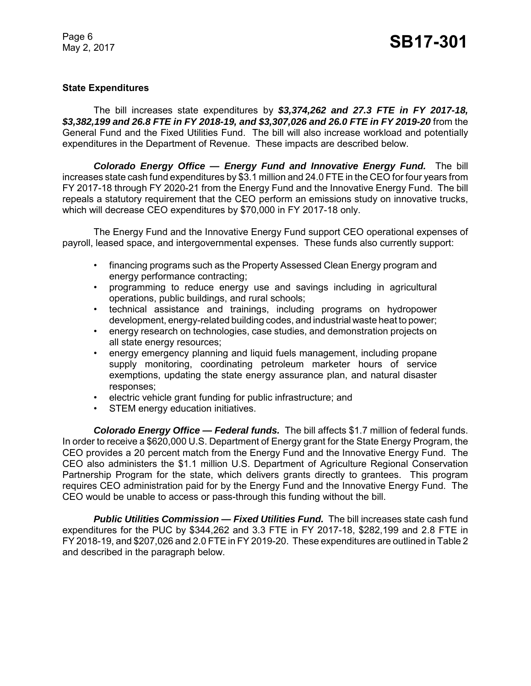# **State Expenditures**

The bill increases state expenditures by *\$3,374,262 and 27.3 FTE in FY 2017-18, \$3,382,199 and 26.8 FTE in FY 2018-19, and \$3,307,026 and 26.0 FTE in FY 2019-20* from the General Fund and the Fixed Utilities Fund. The bill will also increase workload and potentially expenditures in the Department of Revenue. These impacts are described below.

*Colorado Energy Office — Energy Fund and Innovative Energy Fund.* The bill increases state cash fund expenditures by \$3.1 million and 24.0 FTE in the CEO for four years from FY 2017-18 through FY 2020-21 from the Energy Fund and the Innovative Energy Fund. The bill repeals a statutory requirement that the CEO perform an emissions study on innovative trucks, which will decrease CEO expenditures by \$70,000 in FY 2017-18 only.

The Energy Fund and the Innovative Energy Fund support CEO operational expenses of payroll, leased space, and intergovernmental expenses. These funds also currently support:

- financing programs such as the Property Assessed Clean Energy program and energy performance contracting;
- programming to reduce energy use and savings including in agricultural operations, public buildings, and rural schools;
- technical assistance and trainings, including programs on hydropower development, energy-related building codes, and industrial waste heat to power;
- energy research on technologies, case studies, and demonstration projects on all state energy resources;
- energy emergency planning and liquid fuels management, including propane supply monitoring, coordinating petroleum marketer hours of service exemptions, updating the state energy assurance plan, and natural disaster responses;
- electric vehicle grant funding for public infrastructure; and
- STEM energy education initiatives.

*Colorado Energy Office — Federal funds.* The bill affects \$1.7 million of federal funds. In order to receive a \$620,000 U.S. Department of Energy grant for the State Energy Program, the CEO provides a 20 percent match from the Energy Fund and the Innovative Energy Fund. The CEO also administers the \$1.1 million U.S. Department of Agriculture Regional Conservation Partnership Program for the state, which delivers grants directly to grantees. This program requires CEO administration paid for by the Energy Fund and the Innovative Energy Fund. The CEO would be unable to access or pass-through this funding without the bill.

**Public Utilities Commission — Fixed Utilities Fund.** The bill increases state cash fund expenditures for the PUC by \$344,262 and 3.3 FTE in FY 2017-18, \$282,199 and 2.8 FTE in FY 2018-19, and \$207,026 and 2.0 FTE in FY 2019-20. These expenditures are outlined in Table 2 and described in the paragraph below.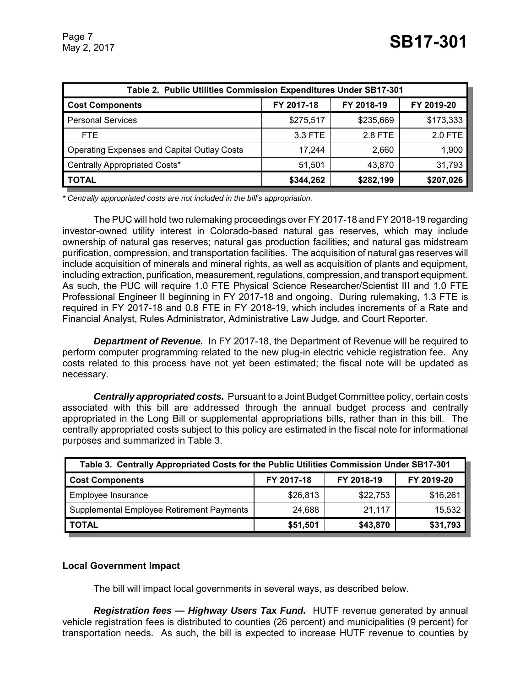| Table 2. Public Utilities Commission Expenditures Under SB17-301 |            |            |            |  |  |
|------------------------------------------------------------------|------------|------------|------------|--|--|
| <b>Cost Components</b>                                           | FY 2017-18 | FY 2018-19 | FY 2019-20 |  |  |
| <b>Personal Services</b>                                         | \$275,517  | \$235,669  | \$173,333  |  |  |
| FTE.                                                             | 3.3 FTE    | 2.8 FTE    | 2.0 FTE    |  |  |
| <b>Operating Expenses and Capital Outlay Costs</b>               | 17,244     | 2.660      | 1,900      |  |  |
| Centrally Appropriated Costs*                                    | 51,501     | 43,870     | 31,793     |  |  |
| <b>TOTAL</b>                                                     | \$344,262  | \$282,199  | \$207,026  |  |  |

*\* Centrally appropriated costs are not included in the bill's appropriation.*

The PUC will hold two rulemaking proceedings over FY 2017-18 and FY 2018-19 regarding investor-owned utility interest in Colorado-based natural gas reserves, which may include ownership of natural gas reserves; natural gas production facilities; and natural gas midstream purification, compression, and transportation facilities. The acquisition of natural gas reserves will include acquisition of minerals and mineral rights, as well as acquisition of plants and equipment, including extraction, purification, measurement, regulations, compression, and transport equipment. As such, the PUC will require 1.0 FTE Physical Science Researcher/Scientist III and 1.0 FTE Professional Engineer II beginning in FY 2017-18 and ongoing. During rulemaking, 1.3 FTE is required in FY 2017-18 and 0.8 FTE in FY 2018-19, which includes increments of a Rate and Financial Analyst, Rules Administrator, Administrative Law Judge, and Court Reporter.

*Department of Revenue.* In FY 2017-18, the Department of Revenue will be required to perform computer programming related to the new plug-in electric vehicle registration fee. Any costs related to this process have not yet been estimated; the fiscal note will be updated as necessary.

*Centrally appropriated costs.* Pursuant to a Joint Budget Committee policy, certain costs associated with this bill are addressed through the annual budget process and centrally appropriated in the Long Bill or supplemental appropriations bills, rather than in this bill. The centrally appropriated costs subject to this policy are estimated in the fiscal note for informational purposes and summarized in Table 3.

| Table 3. Centrally Appropriated Costs for the Public Utilities Commission Under SB17-301 |            |            |            |  |  |
|------------------------------------------------------------------------------------------|------------|------------|------------|--|--|
| <b>Cost Components</b>                                                                   | FY 2017-18 | FY 2018-19 | FY 2019-20 |  |  |
| Employee Insurance                                                                       | \$26,813   | \$22,753   | \$16,261   |  |  |
| Supplemental Employee Retirement Payments                                                | 24,688     | 21,117     | 15,532     |  |  |
| <b>TOTAL</b>                                                                             | \$51,501   | \$43,870   | \$31,793   |  |  |

## **Local Government Impact**

The bill will impact local governments in several ways, as described below.

*Registration fees — Highway Users Tax Fund.* HUTF revenue generated by annual vehicle registration fees is distributed to counties (26 percent) and municipalities (9 percent) for transportation needs. As such, the bill is expected to increase HUTF revenue to counties by